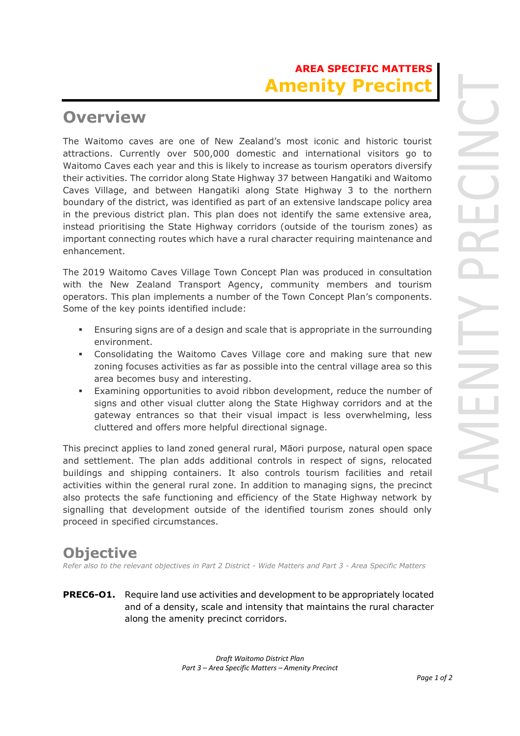# **AREA SPECIFIC MATTERS Amenity Precin**

## **Overview**

The Waitomo caves are one of New Zealand's most iconic and historic tourist attractions. Currently over 500,000 domestic and international visitors go to Waitomo Caves each year and this is likely to increase as tourism operators diversify their activities. The corridor along State Highway 37 between Hangatiki and Waitomo Caves Village, and between Hangatiki along State Highway 3 to the northern boundary of the district, was identified as part of an extensive landscape policy area in the previous district plan. This plan does not identify the same extensive area, instead prioritising the State Highway corridors (outside of the tourism zones) as important connecting routes which have a rural character requiring maintenance and enhancement.

The 2019 Waitomo Caves Village Town Concept Plan was produced in consultation with the New Zealand Transport Agency, community members and tourism operators. This plan implements a number of the Town Concept Plan's components. Some of the key points identified include:

- Ensuring signs are of a design and scale that is appropriate in the surrounding environment.
- Consolidating the Waitomo Caves Village core and making sure that new zoning focuses activities as far as possible into the central village area so this area becomes busy and interesting.
- Examining opportunities to avoid ribbon development, reduce the number of signs and other visual clutter along the State Highway corridors and at the gateway entrances so that their visual impact is less overwhelming, less cluttered and offers more helpful directional signage.

This precinct applies to land zoned general rural, Māori purpose, natural open space and settlement. The plan adds additional controls in respect of signs, relocated buildings and shipping containers. It also controls tourism facilities and retail activities within the general rural zone. In addition to managing signs, the precinct also protects the safe functioning and efficiency of the State Highway network by signalling that development outside of the identified tourism zones should only proceed in specified circumstances.

#### **Objective**

*Refer also to the relevant objectives in Part 2 District - Wide Matters and Part 3 - Area Specific Matters*

**PREC6-O1.** Require land use activities and development to be appropriately located and of a density, scale and intensity that maintains the rural character along the amenity precinct corridors.